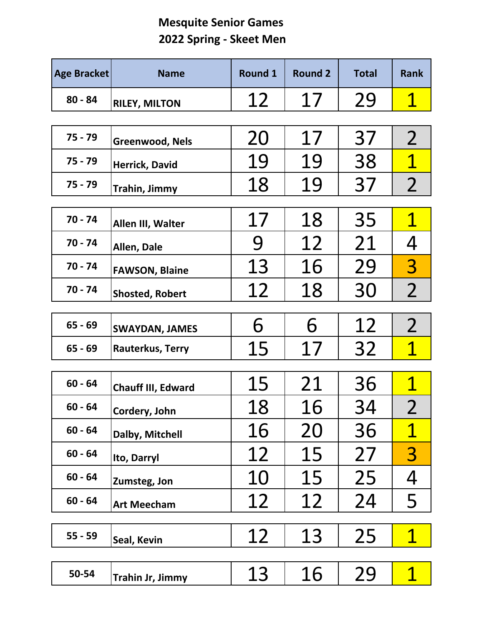## **Mesquite Senior Games Spring ‐ Skeet Men**

| <b>Age Bracket</b> | <b>Name</b>                              | <b>Round 1</b> | <b>Round 2</b> | <b>Total</b> | <b>Rank</b>    |
|--------------------|------------------------------------------|----------------|----------------|--------------|----------------|
| $80 - 84$          | <b>RILEY, MILTON</b>                     | 12             | 17             | 29           | <u>1</u>       |
| $75 - 79$          |                                          | 20             | 17             | 37           | $\overline{2}$ |
| $75 - 79$          | <b>Greenwood, Nels</b><br>Herrick, David | 19             | 19             | 38           | $\mathbf 1$    |
| $75 - 79$          | Trahin, Jimmy                            | 18             | 19             | 37           | $\overline{2}$ |
|                    |                                          |                |                |              |                |
| $70 - 74$          | Allen III, Walter                        | 17             | 18             | 35           | $\mathbf 1$    |
| $70 - 74$          | Allen, Dale                              | 9              | 12             | 21           | 4              |
| $70 - 74$          | <b>FAWSON, Blaine</b>                    | 13             | 16             | 29           | $\overline{3}$ |
| $70 - 74$          | <b>Shosted, Robert</b>                   | 12             | 18             | 30           | $\overline{2}$ |
|                    |                                          |                |                |              |                |
| $65 - 69$          | <b>SWAYDAN, JAMES</b>                    | 6              | 6              | 12           | $\overline{2}$ |
| $65 - 69$          | Rauterkus, Terry                         | 15             | 17             | 32           | $\mathbf 1$    |
| $60 - 64$          |                                          | 15             | 21             | 36           | $\mathbf 1$    |
|                    | Chauff III, Edward                       |                |                |              |                |
| $60 - 64$          | Cordery, John                            | 18             | 16             | 34           | $\overline{2}$ |
| $60 - 64$          | Dalby, Mitchell                          | 16             | 20             | 36           | $\mathbf 1$    |
| $60 - 64$          | Ito, Darryl                              | 12             | 15             | 27           | 3              |
| $60 - 64$          | Zumsteg, Jon                             | 10             | 15             | 25           | 4              |
| $60 - 64$          | <b>Art Meecham</b>                       | 12             | 12             | 24           | 5              |
|                    |                                          |                |                |              |                |
| $55 - 59$          | Seal, Kevin                              | 12             | 13             | 25           | $\mathbf 1$    |
|                    |                                          |                |                |              |                |
| 50-54              | Trahin Jr, Jimmy                         | 13             | 16             | 29           |                |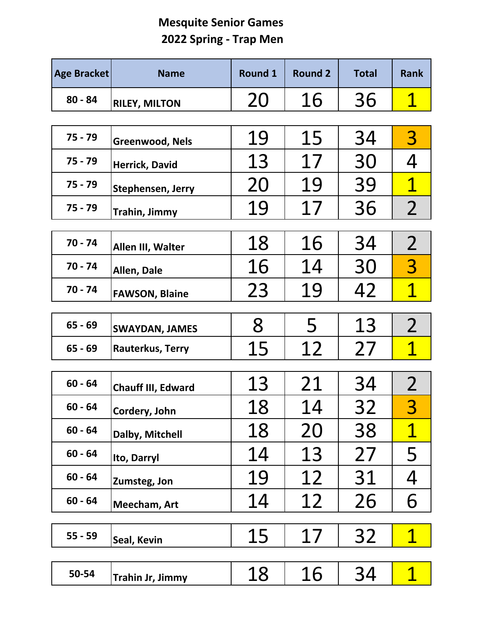## **Mesquite Senior Games Spring ‐ Trap Men**

| <b>Age Bracket</b> | <b>Name</b>            | <b>Round 1</b> | <b>Round 2</b> | <b>Total</b> | <b>Rank</b>    |
|--------------------|------------------------|----------------|----------------|--------------|----------------|
| $80 - 84$          | <b>RILEY, MILTON</b>   | 20             | 16             | 36           | 1              |
|                    |                        |                |                |              |                |
| $75 - 79$          | <b>Greenwood, Nels</b> | 19             | 15             | 34           | 3              |
| $75 - 79$          | Herrick, David         | 13             | 17             | 30           | 4              |
| $75 - 79$          | Stephensen, Jerry      | 20             | 19             | 39           | $\mathbf 1$    |
| $75 - 79$          | Trahin, Jimmy          | 19             | 17             | 36           | $\overline{2}$ |
| $70 - 74$          |                        | 18             | 16             | 34           | $\overline{2}$ |
|                    | Allen III, Walter      |                |                |              |                |
| $70 - 74$          | Allen, Dale            | 16             | 14             | 30           | $\overline{3}$ |
| 70 - 74            | <b>FAWSON, Blaine</b>  | 23             | 19             | 42           | $\mathbf 1$    |
|                    |                        |                |                |              |                |
| $65 - 69$          | <b>SWAYDAN, JAMES</b>  | 8              | 5              | 13           | $\overline{2}$ |
| $65 - 69$          | Rauterkus, Terry       | 15             | 12             | 27           | $\mathbf 1$    |
|                    |                        |                |                |              |                |
| $60 - 64$          | Chauff III, Edward     | 13             | 21             | 34           | $\overline{2}$ |
| $60 - 64$          | Cordery, John          | 18             | 14             | 32           | 3              |
| $60 - 64$          | Dalby, Mitchell        | 18             | 20             | 38           | $\mathbf 1$    |
| $60 - 64$          | Ito, Darryl            | 14             | 13             | 27           | 5              |
| $60 - 64$          | Zumsteg, Jon           | 19             | 12             | 31           | 4              |
| $60 - 64$          | Meecham, Art           | 14             | 12             | 26           | 6              |
|                    |                        |                |                |              |                |
| $55 - 59$          | Seal, Kevin            | 15             | 17             | 32           | $\mathbf 1$    |
|                    |                        |                |                |              |                |
| 50-54              | Trahin Jr, Jimmy       | 18             | 16             | 34           |                |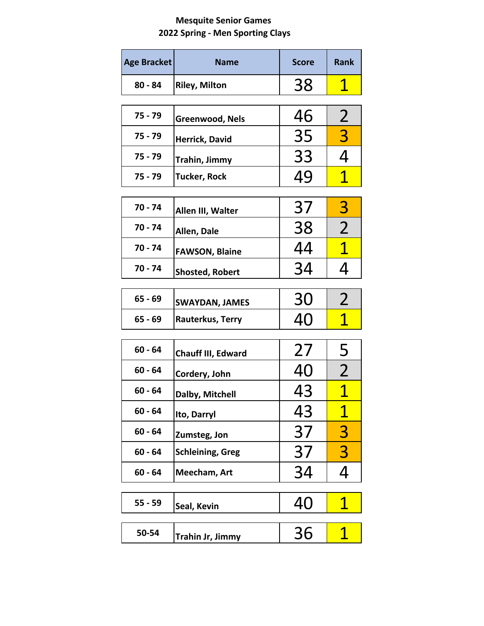## **Mesquite Senior Games Spring ‐ Men Sporting Clays**

| <b>Age Bracket</b> | <b>Name</b>               | <b>Score</b> | <b>Rank</b>             |
|--------------------|---------------------------|--------------|-------------------------|
| $80 - 84$          | <b>Riley, Milton</b>      | 38           | <u>1</u>                |
| 75 - 79            | Greenwood, Nels           | 46           | $\overline{2}$          |
| $75 - 79$          | Herrick, David            | 35           | 3                       |
| 75 - 79            | Trahin, Jimmy             | 33           | 4                       |
| 75 - 79            | Tucker, Rock              | 49           | <u>1</u>                |
| $70 - 74$          | Allen III, Walter         | 37           | 3                       |
| 70 - 74            | Allen, Dale               | 38           | $\overline{2}$          |
| $70 - 74$          | <b>FAWSON, Blaine</b>     | 44           | $\overline{\mathbf{1}}$ |
| $70 - 74$          | <b>Shosted, Robert</b>    | 34           | 4                       |
| $65 - 69$          | <b>SWAYDAN, JAMES</b>     | 30           | 2                       |
| $65 - 69$          | Rauterkus, Terry          | 40           | 1                       |
| $60 - 64$          | <b>Chauff III, Edward</b> | 27           | 5                       |
| $60 - 64$          | Cordery, John             | 40           | 2                       |
| $60 - 64$          | Dalby, Mitchell           | 43           | 1                       |
| $60 - 64$          | Ito, Darryl               | 43           | <u>1</u>                |
| $60 - 64$          | Zumsteg, Jon              | 37           | 3                       |
| $60 - 64$          | <b>Schleining, Greg</b>   | 37           | 3                       |
| $60 - 64$          | Meecham, Art              | 34           | 4                       |
| $55 - 59$          | Seal, Kevin               | 40           | <u>1</u>                |
| 50-54              | Trahin Jr, Jimmy          | 36           | 1                       |